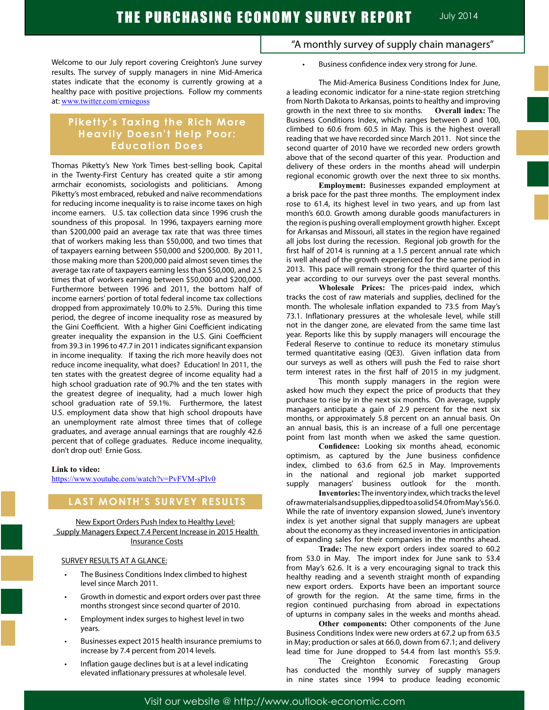Welcome to our July report covering Creighton's June survey results. The survey of supply managers in nine Mid-America states indicate that the economy is currently growing at a healthy pace with positive projections. Follow my comments at: www.twitter.com/erniegoss

## **Piketty's Taxing the Rich More Heavily Doesn't Help Poor: Education Does**

Thomas Piketty's New York Times best-selling book, Capital in the Twenty-First Century has created quite a stir among armchair economists, sociologists and politicians. Among Piketty's most embraced, rebuked and naïve recommendations for reducing income inequality is to raise income taxes on high income earners. U.S. tax collection data since 1996 crush the soundness of this proposal. In 1996, taxpayers earning more than \$200,000 paid an average tax rate that was three times that of workers making less than \$50,000, and two times that of taxpayers earning between \$50,000 and \$200,000. By 2011, those making more than \$200,000 paid almost seven times the average tax rate of taxpayers earning less than \$50,000, and 2.5 times that of workers earning between \$50,000 and \$200,000. Furthermore between 1996 and 2011, the bottom half of income earners' portion of total federal income tax collections dropped from approximately 10.0% to 2.5%. During this time period, the degree of income inequality rose as measured by the Gini Coefficient. With a higher Gini Coefficient indicating greater inequality the expansion in the U.S. Gini Coefficient from 39.3 in 1996 to 47.7 in 2011 indicates significant expansion in income inequality. If taxing the rich more heavily does not reduce income inequality, what does? Education! In 2011, the ten states with the greatest degree of income equality had a high school graduation rate of 90.7% and the ten states with the greatest degree of inequality, had a much lower high school graduation rate of 59.1%. Furthermore, the latest U.S. employment data show that high school dropouts have an unemployment rate almost three times that of college graduates, and average annual earnings that are roughly 42.6 percent that of college graduates. Reduce income inequality, don't drop out! Ernie Goss.

#### **Link to video:**

https://www.youtube.com/watch?v=PvFVM-sPIv0

## **LAST MONTH'S SURVEY RESULTS**

New Export Orders Push Index to Healthy Level: Supply Managers Expect 7.4 Percent Increase in 2015 Health Insurance Costs

#### SURVEY RESULTS AT A GLANCE:

- The Business Conditions Index climbed to highest level since March 2011.
- Growth in domestic and export orders over past three months strongest since second quarter of 2010.
- Employment index surges to highest level in two years.
- Businesses expect 2015 health insurance premiums to increase by 7.4 percent from 2014 levels.
- Inflation gauge declines but is at a level indicating elevated inflationary pressures at wholesale level.

## "A monthly survey of supply chain managers"

Business confidence index very strong for June.

The Mid-America Business Conditions Index for June, a leading economic indicator for a nine-state region stretching from North Dakota to Arkansas, points to healthy and improving growth in the next three to six months. **Overall index:** The Business Conditions Index, which ranges between 0 and 100, climbed to 60.6 from 60.5 in May. This is the highest overall reading that we have recorded since March 2011. Not since the second quarter of 2010 have we recorded new orders growth above that of the second quarter of this year. Production and delivery of these orders in the months ahead will underpin regional economic growth over the next three to six months.

**Employment:** Businesses expanded employment at a brisk pace for the past three months. The employment index rose to 61.4, its highest level in two years, and up from last month's 60.0. Growth among durable goods manufacturers in the region is pushing overall employment growth higher. Except for Arkansas and Missouri, all states in the region have regained all jobs lost during the recession. Regional job growth for the first half of 2014 is running at a 1.5 percent annual rate which is well ahead of the growth experienced for the same period in 2013. This pace will remain strong for the third quarter of this year according to our surveys over the past several months.

**Wholesale Prices:** The prices-paid index, which tracks the cost of raw materials and supplies, declined for the month. The wholesale inflation expanded to 73.5 from May's 73.1. Inflationary pressures at the wholesale level, while still not in the danger zone, are elevated from the same time last year. Reports like this by supply managers will encourage the Federal Reserve to continue to reduce its monetary stimulus termed quantitative easing (QE3). Given inflation data from our surveys as well as others will push the Fed to raise short term interest rates in the first half of 2015 in my judgment.

This month supply managers in the region were asked how much they expect the price of products that they purchase to rise by in the next six months. On average, supply managers anticipate a gain of 2.9 percent for the next six months, or approximately 5.8 percent on an annual basis. On an annual basis, this is an increase of a full one percentage point from last month when we asked the same question.

**Confidence:** Looking six months ahead, economic optimism, as captured by the June business confidence index, climbed to 63.6 from 62.5 in May. Improvements in the national and regional job market supported supply managers' business outlook for the month.

**Inventories:** The inventory index, which tracks the level of raw materials and supplies, dipped to a solid 54.0 from May's 56.0. While the rate of inventory expansion slowed, June's inventory index is yet another signal that supply managers are upbeat about the economy as they increased inventories in anticipation of expanding sales for their companies in the months ahead.

**Trade:** The new export orders index soared to 60.2 from 53.0 in May. The import index for June sank to 53.4 from May's 62.6. It is a very encouraging signal to track this healthy reading and a seventh straight month of expanding new export orders. Exports have been an important source of growth for the region. At the same time, firms in the region continued purchasing from abroad in expectations of upturns in company sales in the weeks and months ahead.

**Other components:** Other components of the June Business Conditions Index were new orders at 67.2 up from 63.5 in May; production or sales at 66.0, down from 67.1; and delivery lead time for June dropped to 54.4 from last month's 55.9.

The Creighton Economic Forecasting Group has conducted the monthly survey of supply managers in nine states since 1994 to produce leading economic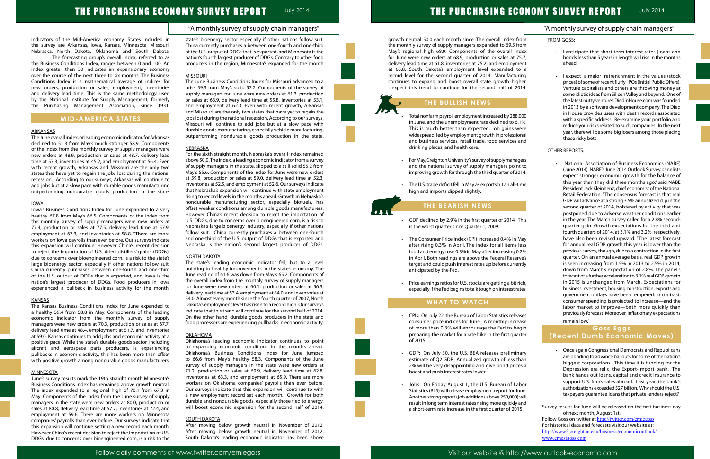# **THE PURCHASING ECONOMY SURVEY REPORT JUly 2014**

# THE PURCHASING ECO

## "A monthly survey of supply chain managers"

indicators of the Mid-America economy. States included in the survey are Arkansas, Iowa, Kansas, Minnesota, Missouri, Nebraska, North Dakota, Oklahoma and South Dakota.

The forecasting group's overall index, referred to as the Business Conditions Index, ranges between 0 and 100. An index greater than 50 indicates an expansionary economy over the course of the next three to six months. The Business Conditions Index is a mathematical average of indices for new orders, production or sales, employment, inventories and delivery lead time. This is the same methodology used by the National Institute for Supply Management, formerly the Purchasing Management Association, since 1931.

## **MID-AMERICA STATES**

## ARKANSAS

The June overall index, or leading economic indicator, for Arkansas declined to 51.3 from May's much stronger 58.9. Components of the index from the monthly survey of supply managers were new orders at 48.9, production or sales at 48.7, delivery lead time at 57.3, inventories at 45.2, and employment at 56.4. Even with recent growth, Arkansas and Missouri are the only two states that have yet to regain the jobs lost during the national recession. According to our surveys, Arkansas will continue to add jobs but at a slow pace with durable goods manufacturing outperforming nondurable goods production in the state.

### IOWA

Iowa's Business Conditions Index for June expanded to a very healthy 67.8 from May's 66.5. Components of the index from the monthly survey of supply managers were new orders at 77.4, production or sales at 77.5, delivery lead time at 57.9, employment at 67.3, and inventories at 58.8. "There are more workers on Iowa payrolls than ever before. Our surveys indicate this expansion will continue. However China's recent decision to reject the importation of U.S. dried distillers' grains (DDGs), due to concerns over bioengineered corn, is a risk to the state's large bioenergy sector, especially if other nations follow suit. China currently purchases between one-fourth and one-third of the U.S. output of DDGs that is exported, and Iowa is the nation's largest producer of DDGs. Food producers in Iowa experienced a pullback in business activity for the month.

### **KANSAS**

The Kansas Business Conditions Index for June expanded to a healthy 59.4 from 58.8 in May. Components of the leading economic indicator from the monthly survey of supply managers were new orders at 70.3, production or sales at 67.7, delivery lead time at 48.4, employment at 51.7, and inventories at 59.0. Kansas continues to add jobs and economic activity at a positive pace. While the state's durable goods sector, including aircraft and aerospace parts producers, is experiencing pullbacks in economic activity, this has been more than offset with positive growth among nondurable goods manufacturers.

### **MINNESOTA**

June's survey results mark the 19th straight month Minnesota's Business Conditions Index has remained above growth neutral. The index expanded to a regional high of 70.1 from 67.3 in May. Components of the index from the June survey of supply managers in the state were new orders at 80.0, production or sales at 80.8, delivery lead time at 57.7, inventories at 72.4, and employment at 59.6. There are more workers on Minnesota companies' payrolls than ever before. Our surveys indicate that this expansion will continue setting a new record each month. However China's recent decision to reject the importation of U.S. DDGs, due to concerns over bioengineered corn, is a risk to the state's bioenergy sector especially if other nations follow suit. China currently purchases a between one-fourth and one-third of the U.S. output of DDGs that is exported, and Minnesota is the nation's fourth largest producer of DDGs. Contrary to other food producers in the region, Minnesota's expanded for the month

#### **MISSOURI**

- Total nonfarm payroll employment increased by 288,000 in June, and the unemployment rate declined to 6.1% This is much better than expected. Job gains were widespread, led by employment growth in professional and business services, retail trade, food services and drinking places, and health care.
- • For May, Creighton University's survey of supply managers and the national survey of supply managers point to improving growth for through the third quarter of 2014.
- The U.S. trade deficit fell in May as exports hit an all-time high and imports dipped slightly.

The June Business Conditions Index for Missouri advanced to a brisk 59.3 from May's solid 57.7. Components of the survey of supply managers for June were new orders at 61.3, production or sales at 63.9, delivery lead time at 55.8, inventories at 53.1, and employment at 62.3. Even with recent growth, Arkansas and Missouri are the only two states that have yet to regain the jobs lost during the national recession. According to our surveys, Missouri will continue to add jobs but at a slow pace with durable goods manufacturing, especially vehicle manufacturing, outperforming nondurable goods production in the state.

### NEBRASKA

- CPIs: On July 22, the Bureau of Labor Statistics releases consumer price indices for June. A monthly increase of more than 0.3% will encourage the Fed to begin preparing the market for a rate hike in the first quarter of 2015.
- • GDP: On July 30, the U.S. BEA releases preliminary estimate of Q2 GDP. Annualized growth of less than 2% will be very disappointing and give bond prices boost and push interest rates lower.
- • Jobs: On Friday August 1, the U.S. Bureau of Labor Statistics (BLS) will release employment report for June. Another strong report (job additions above 250,000) will result in long term interest rates rising more quickly and a short-term rate increase in the first quarter of 2015.

For the sixth straight month, Nebraska's overall index remained above 50.0. The index, a leading economic indicator from a survey of supply managers in the state, slipped to a still solid 55.2 from May's 55.6. Components of the index for June were new orders at 59.8, production or sales at 59.0, delivery lead time at 52.3, inventories at 52.5, and employment at 52.6. Our surveys indicate that Nebraska's expansion will continue with state employment rising to record levels in the months ahead. Growth in Nebraska's nondurable manufacturing sector, especially biofuels, has offset weaker conditions among durable goods manufacturers. However China's recent decision to reject the importation of U.S. DDGs, due to concerns over bioengineered corn, is a risk to Nebraska's large bioenergy industry, especially if other nations follow suit. China currently purchases a between one-fourth and one-third of the U.S. output of DDGs that is exported and Nebraska is the nation's second largest producer of DDGs.

## NORTH DAKOTA

The state's leading economic indicator fell, but to a level pointing to healthy improvements in the state's economy. The June reading of 61.6 was down from May's 65.2. Components of the overall index from the monthly survey of supply managers for June were new orders at 60.1, production or sales at 56.3, delivery lead time at 53.4, employment at 84.0, and inventories at 54.0. Almost every month since the fourth quarter of 2007, North Dakota's employment level has risen to a record high. Our surveys indicate that this trend will continue for the second half of 2014. On the other hand, durable goods producers in the state and food processors are experiencing pullbacks in economic activity.

> Survey results for June will be released on the first business day of next month, August 1st. Follow Goss on twitter at http://twitter.com/erniegoss

|                                         | <b>NOMY SURVEY REPORT</b><br><b>July 2014</b>                                                                                                                                                                                                                                                                                                                                                                                                                                                                                                                                                                            |
|-----------------------------------------|--------------------------------------------------------------------------------------------------------------------------------------------------------------------------------------------------------------------------------------------------------------------------------------------------------------------------------------------------------------------------------------------------------------------------------------------------------------------------------------------------------------------------------------------------------------------------------------------------------------------------|
|                                         | "A monthly survey of supply chain managers"                                                                                                                                                                                                                                                                                                                                                                                                                                                                                                                                                                              |
| J                                       | <b>FROM GOSS:</b>                                                                                                                                                                                                                                                                                                                                                                                                                                                                                                                                                                                                        |
| ٦<br>X<br>΄,<br>t                       | I anticipate that short term interest rates (loans and<br>bonds less than 5 years in length will rise in the months<br>ahead.                                                                                                                                                                                                                                                                                                                                                                                                                                                                                            |
| а<br>J<br>r.<br>C<br>).<br>e<br>ıl<br>Ę | I expect a major retrenchment in the values (stock<br>prices) of some of recent fluffy IPOs (Initial Public Offers).<br>Venture capitalists and others are throwing money at<br>some idiotic ideas from Silicon Valley and beyond. One of<br>the latest nutty ventures DiedInHouse.com was founded<br>in 2013 by a software development company. The Died<br>in House provides users with death records associated<br>with a specific address. Re-examine your portfolio and<br>reduce your risks related to such companies. In the next<br>year, there will be some big losers among those placing<br>these risky bets. |
|                                         | OTHER REPORTS:                                                                                                                                                                                                                                                                                                                                                                                                                                                                                                                                                                                                           |
| s<br>C                                  | National Association of Business Economics (NABE)<br>(June 2014): NABE's June 2014 Outlook Survey panelists                                                                                                                                                                                                                                                                                                                                                                                                                                                                                                              |
| e                                       | expect stronger economic growth for the balance of<br>this year than they did three months ago," said NABE                                                                                                                                                                                                                                                                                                                                                                                                                                                                                                               |
|                                         | President Jack Kleinhenz, chief economist of the National<br>Retail Federation. "The consensus forecast is that real<br>GDP will advance at a strong 3.5% annualized clip in the<br>second quarter of 2014, bolstered by activity that was                                                                                                                                                                                                                                                                                                                                                                               |
| S                                       | postponed due to adverse weather conditions earlier<br>in the year. The March survey called for a 2.8% second-<br>quarter gain. Growth expectations for the third and<br>fourth quarters of 2014, at 3.1% and 3.2%, respectively,                                                                                                                                                                                                                                                                                                                                                                                        |
|                                         | have also been revised upward. "The latest forecast                                                                                                                                                                                                                                                                                                                                                                                                                                                                                                                                                                      |
| s<br>6                                  | for annual real GDP growth this year is lower than the<br>previous survey, though, due to a contraction in the first                                                                                                                                                                                                                                                                                                                                                                                                                                                                                                     |
| s                                       | quarter. On an annual average basis, real GDP growth                                                                                                                                                                                                                                                                                                                                                                                                                                                                                                                                                                     |
| у                                       | is seen increasing from 1.9% in 2013 to 2.5% in 2014,<br>down from March's expectation of 2.8%. The panel's<br>forecast of a further acceleration to 3.1% real GDP growth                                                                                                                                                                                                                                                                                                                                                                                                                                                |
|                                         | in 2015 is unchanged from March. Expectations for<br>business investment, housing construction, exports and                                                                                                                                                                                                                                                                                                                                                                                                                                                                                                              |
|                                         | government outlays have been tempered. In contrast,<br>consumer spending is projected to increase-and the<br>labor market to improve-both more quickly than                                                                                                                                                                                                                                                                                                                                                                                                                                                              |
| s                                       | previously forecast. Moreover, inflationary expectations<br>remain low."                                                                                                                                                                                                                                                                                                                                                                                                                                                                                                                                                 |
| e<br>J                                  | <b>Goss Eggs</b>                                                                                                                                                                                                                                                                                                                                                                                                                                                                                                                                                                                                         |
| r                                       | (Recent Dumb Economic Moves)                                                                                                                                                                                                                                                                                                                                                                                                                                                                                                                                                                                             |
| a                                       | Once again Congressional Democrats and Republicans<br>are bonding to advance bailouts for some of the nation's<br>biggest corporations. This time it is funding for the<br>Depression era relic, the Export-Import bank. The                                                                                                                                                                                                                                                                                                                                                                                             |
| r                                       | bank hands out loans, capital and credit insurance to<br>support U.S. firm's sales abroad. Last year, the bank's<br>authorizations exceeded \$27 billion. Why should the U.S.                                                                                                                                                                                                                                                                                                                                                                                                                                            |

### OKLAHOMA

Oklahoma's leading economic indicator continues to point to expanding economic conditions in the months ahead. Oklahoma's Business Conditions Index for June jumped to 66.6 from May's healthy 58.3. Components of the June survey of supply managers in the state were new orders at 71.2, production or sales at 69.9, delivery lead time at 62.8, inventories at 63.3, and employment at 65.9. There are more workers on Oklahoma companies' payrolls than ever before. Our surveys indicate that this expansion will continue to with a new employment record set each month. Growth for both durable and nondurable goods, especially those tied to energy, will boost economic expansion for the second half of 2014.

## SOUTH DAKOTA

After moving below growth neutral in November of 2012, After moving below growth neutral in November of 2012, South Dakota's leading economic indicator has been above

growth neutral 50.0 each month since. The overall index from the monthly survey of supply managers expanded to 69.5 from May's regional high 68.9. Components of the overall index for June were new orders at 68.9, production or sales at 75.7, delivery lead time at 61.8, inventories at 75.2, and employment at 65.8. South Dakota's employment level expanded to record level for the second quarter of 2014. Manufacturing continues to expand and boost overall state growth higher. I expect this trend to continue for the second half of 2014.

# **THE BULLISH NEWS**

## **THE BEARISH NEWS**

- • GDP declined by 2.9% in the first quarter of 2014. This is the worst quarter since Quarter 1, 2009.
- • The Consumer Price Index (CPI) increased 0.4% in May after rising 0.3% in April. The index for all items less food and energy rose 0.3% in May after increasing 0.2% in April. Both readings are above the Federal Reserve's target and could push interest rates up before currently anticipated by the Fed.
- Price earnings ratios for U.S. stocks are getting a bit rich, especially if the Fed begins to talk tough on interest rates.

## **WHAT TO WATCH**

Ĩ

taxpayers guarantee loans that private lenders reject?

For historical data and forecasts visit our website at: http://www2.creighton.edu/business/economicoutlook/ www.ernestgoss.com